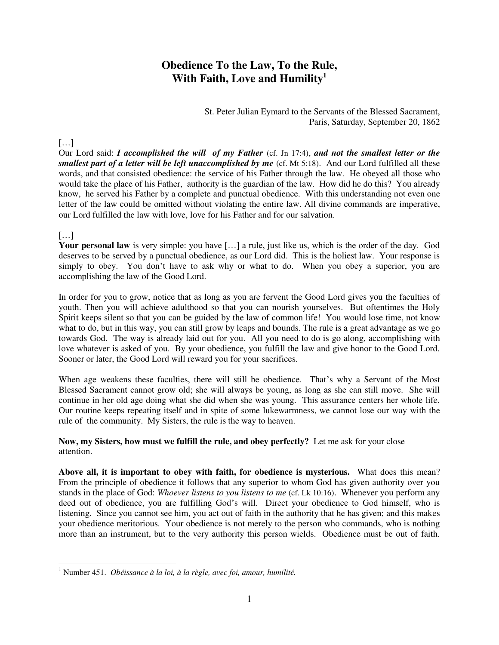# **Obedience To the Law, To the Rule, With Faith, Love and Humility<sup>1</sup>**

St. Peter Julian Eymard to the Servants of the Blessed Sacrament, Paris, Saturday, September 20, 1862

#### […]

Our Lord said: *I accomplished the will of my Father* (cf. Jn 17:4), *and not the smallest letter or the smallest part of a letter will be left unaccomplished by me* (cf. Mt 5:18). And our Lord fulfilled all these words, and that consisted obedience: the service of his Father through the law. He obeyed all those who would take the place of his Father, authority is the guardian of the law. How did he do this? You already know, he served his Father by a complete and punctual obedience. With this understanding not even one letter of the law could be omitted without violating the entire law. All divine commands are imperative, our Lord fulfilled the law with love, love for his Father and for our salvation.

### $[\dots]$

**Your personal law** is very simple: you have […] a rule, just like us, which is the order of the day. God deserves to be served by a punctual obedience, as our Lord did. This is the holiest law. Your response is simply to obey. You don't have to ask why or what to do. When you obey a superior, you are accomplishing the law of the Good Lord.

In order for you to grow, notice that as long as you are fervent the Good Lord gives you the faculties of youth. Then you will achieve adulthood so that you can nourish yourselves. But oftentimes the Holy Spirit keeps silent so that you can be guided by the law of common life! You would lose time, not know what to do, but in this way, you can still grow by leaps and bounds. The rule is a great advantage as we go towards God. The way is already laid out for you. All you need to do is go along, accomplishing with love whatever is asked of you. By your obedience, you fulfill the law and give honor to the Good Lord. Sooner or later, the Good Lord will reward you for your sacrifices.

When age weakens these faculties, there will still be obedience. That's why a Servant of the Most Blessed Sacrament cannot grow old; she will always be young, as long as she can still move. She will continue in her old age doing what she did when she was young. This assurance centers her whole life. Our routine keeps repeating itself and in spite of some lukewarmness, we cannot lose our way with the rule of the community. My Sisters, the rule is the way to heaven.

**Now, my Sisters, how must we fulfill the rule, and obey perfectly?** Let me ask for your close attention.

**Above all, it is important to obey with faith, for obedience is mysterious.** What does this mean? From the principle of obedience it follows that any superior to whom God has given authority over you stands in the place of God: *Whoever listens to you listens to me* (cf. Lk 10:16). Whenever you perform any deed out of obedience, you are fulfilling God's will. Direct your obedience to God himself, who is listening. Since you cannot see him, you act out of faith in the authority that he has given; and this makes your obedience meritorious. Your obedience is not merely to the person who commands, who is nothing more than an instrument, but to the very authority this person wields. Obedience must be out of faith.

 1 Number 451. *Obéissance à la loi, à la règle, avec foi, amour, humilité.*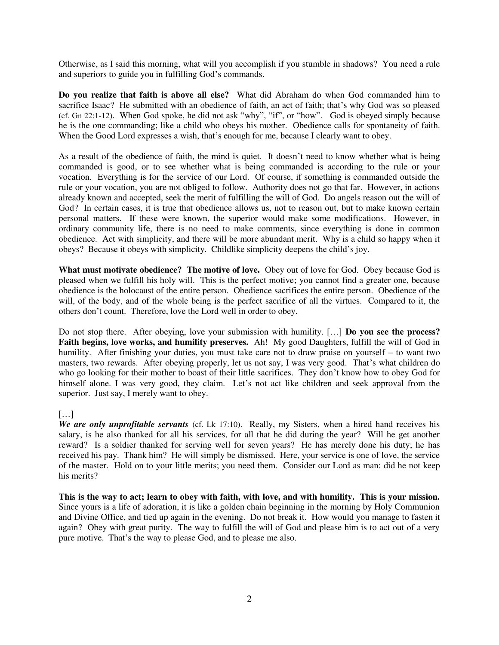Otherwise, as I said this morning, what will you accomplish if you stumble in shadows? You need a rule and superiors to guide you in fulfilling God's commands.

**Do you realize that faith is above all else?** What did Abraham do when God commanded him to sacrifice Isaac? He submitted with an obedience of faith, an act of faith; that's why God was so pleased (cf. Gn 22:1-12). When God spoke, he did not ask "why", "if", or "how". God is obeyed simply because he is the one commanding; like a child who obeys his mother. Obedience calls for spontaneity of faith. When the Good Lord expresses a wish, that's enough for me, because I clearly want to obey.

As a result of the obedience of faith, the mind is quiet. It doesn't need to know whether what is being commanded is good, or to see whether what is being commanded is according to the rule or your vocation. Everything is for the service of our Lord. Of course, if something is commanded outside the rule or your vocation, you are not obliged to follow. Authority does not go that far. However, in actions already known and accepted, seek the merit of fulfilling the will of God. Do angels reason out the will of God? In certain cases, it is true that obedience allows us, not to reason out, but to make known certain personal matters. If these were known, the superior would make some modifications. However, in ordinary community life, there is no need to make comments, since everything is done in common obedience. Act with simplicity, and there will be more abundant merit. Why is a child so happy when it obeys? Because it obeys with simplicity. Childlike simplicity deepens the child's joy.

**What must motivate obedience? The motive of love.** Obey out of love for God. Obey because God is pleased when we fulfill his holy will. This is the perfect motive; you cannot find a greater one, because obedience is the holocaust of the entire person. Obedience sacrifices the entire person. Obedience of the will, of the body, and of the whole being is the perfect sacrifice of all the virtues. Compared to it, the others don't count. Therefore, love the Lord well in order to obey.

Do not stop there. After obeying, love your submission with humility. […] **Do you see the process? Faith begins, love works, and humility preserves.** Ah! My good Daughters, fulfill the will of God in humility. After finishing your duties, you must take care not to draw praise on yourself – to want two masters, two rewards. After obeying properly, let us not say, I was very good. That's what children do who go looking for their mother to boast of their little sacrifices. They don't know how to obey God for himself alone. I was very good, they claim. Let's not act like children and seek approval from the superior. Just say, I merely want to obey.

### […]

*We are only unprofitable servants* (cf. Lk 17:10). Really, my Sisters, when a hired hand receives his salary, is he also thanked for all his services, for all that he did during the year? Will he get another reward? Is a soldier thanked for serving well for seven years? He has merely done his duty; he has received his pay. Thank him? He will simply be dismissed. Here, your service is one of love, the service of the master. Hold on to your little merits; you need them. Consider our Lord as man: did he not keep his merits?

**This is the way to act; learn to obey with faith, with love, and with humility. This is your mission.** Since yours is a life of adoration, it is like a golden chain beginning in the morning by Holy Communion and Divine Office, and tied up again in the evening. Do not break it. How would you manage to fasten it again? Obey with great purity. The way to fulfill the will of God and please him is to act out of a very pure motive. That's the way to please God, and to please me also.